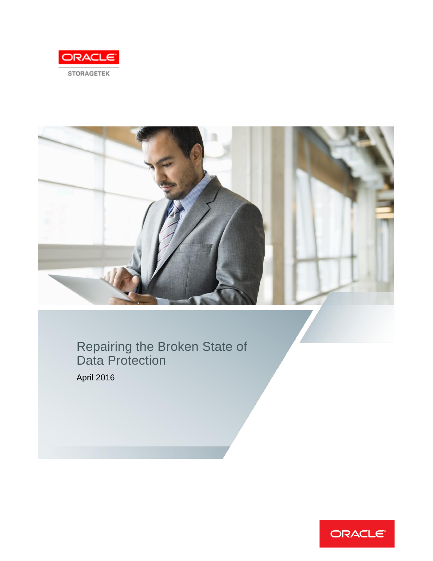



Repairing the Broken State of Data Protection

April 2016

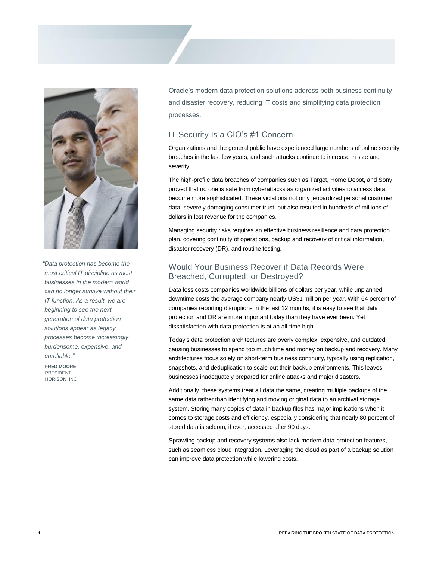

*"Data protection has become the most critical IT discipline as most businesses in the modern world can no longer survive without their IT function. As a result, we are beginning to see the next generation of data protection solutions appear as legacy processes become increasingly burdensome, expensive, and unreliable."*

**FRED MOORE** PRESIDENT HORISON, INC Oracle's modern data protection solutions address both business continuity and disaster recovery, reducing IT costs and simplifying data protection processes.

### IT Security Is a CIO's #1 Concern

Organizations and the general public have experienced large numbers of online security breaches in the last few years, and such attacks continue to increase in size and severity.

The high-profile data breaches of companies such as Target, Home Depot, and Sony proved that no one is safe from cyberattacks as organized activities to access data become more sophisticated. These violations not only jeopardized personal customer data, severely damaging consumer trust, but also resulted in hundreds of millions of dollars in lost revenue for the companies.

Managing security risks requires an effective business resilience and data protection plan, covering continuity of operations, backup and recovery of critical information, disaster recovery (DR), and routine testing.

## Would Your Business Recover if Data Records Were Breached, Corrupted, or Destroyed?

Data loss costs companies worldwide billions of dollars per year, while unplanned downtime costs the average company nearly US\$1 million per year. With 64 percent of companies reporting disruptions in the last 12 months, it is easy to see that data protection and DR are more important today than they have ever been. Yet dissatisfaction with data protection is at an all-time high.

Today's data protection architectures are overly complex, expensive, and outdated, causing businesses to spend too much time and money on backup and recovery. Many architectures focus solely on short-term business continuity, typically using replication, snapshots, and deduplication to scale-out their backup environments. This leaves businesses inadequately prepared for online attacks and major disasters.

Additionally, these systems treat all data the same, creating multiple backups of the same data rather than identifying and moving original data to an archival storage system. Storing many copies of data in backup files has major implications when it comes to storage costs and efficiency, especially considering that nearly 80 percent of stored data is seldom, if ever, accessed after 90 days.

Sprawling backup and recovery systems also lack modern data protection features, such as seamless cloud integration. Leveraging the cloud as part of a backup solution can improve data protection while lowering costs.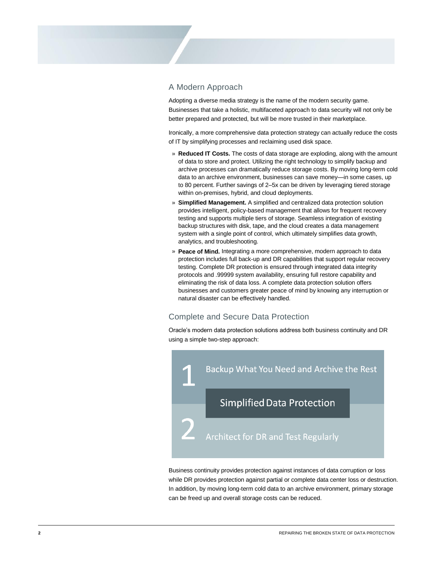#### A Modern Approach

Adopting a diverse media strategy is the name of the modern security game. Businesses that take a holistic, multifaceted approach to data security will not only be better prepared and protected, but will be more trusted in their marketplace.

Ironically, a more comprehensive data protection strategy can actually reduce the costs of IT by simplifying processes and reclaiming used disk space.

- » **Reduced IT Costs.** The costs of data storage are exploding, along with the amount of data to store and protect. Utilizing the right technology to simplify backup and archive processes can dramatically reduce storage costs. By moving long-term cold data to an archive environment, businesses can save money—in some cases, up to 80 percent. Further savings of 2–5x can be driven by leveraging tiered storage within on-premises, hybrid, and cloud deployments.
- » **Simplified Management.** A simplified and centralized data protection solution provides intelligent, policy-based management that allows for frequent recovery testing and supports multiple tiers of storage. Seamless integration of existing backup structures with disk, tape, and the cloud creates a data management system with a single point of control, which ultimately simplifies data growth, analytics, and troubleshooting.
- » **Peace of Mind.** Integrating a more comprehensive, modern approach to data protection includes full back-up and DR capabilities that support regular recovery testing. Complete DR protection is ensured through integrated data integrity protocols and .99999 system availability, ensuring full restore capability and eliminating the risk of data loss. A complete data protection solution offers businesses and customers greater peace of mind by knowing any interruption or natural disaster can be effectively handled.

### Complete and Secure Data Protection

Oracle's modern data protection solutions address both business continuity and DR using a simple two-step approach:



Business continuity provides protection against instances of data corruption or loss while DR provides protection against partial or complete data center loss or destruction. In addition, by moving long-term cold data to an archive environment, primary storage can be freed up and overall storage costs can be reduced.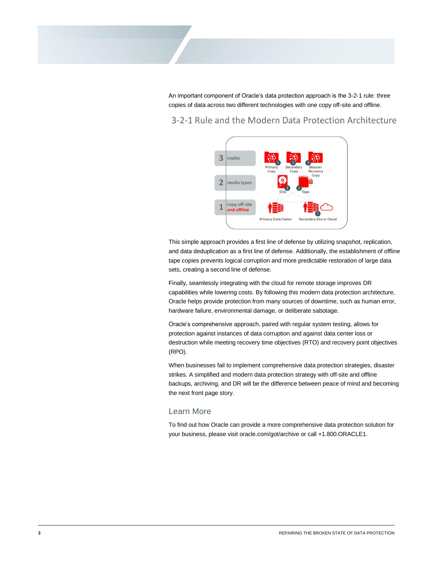An important component of Oracle's data protection approach is the 3-2-1 rule: three copies of data across two different technologies with one copy off-site and offline.

# 3-2-1 Rule and the Modern Data Protection Architecture



This simple approach provides a first line of defense by utilizing snapshot, replication, and data deduplication as a first line of defense. Additionally, the establishment of offline tape copies prevents logical corruption and more predictable restoration of large data sets, creating a second line of defense.

Finally, seamlessly integrating with the cloud for remote storage improves DR capabilities while lowering costs. By following this modern data protection architecture, Oracle helps provide protection from many sources of downtime, such as human error, hardware failure, environmental damage, or deliberate sabotage.

Oracle's comprehensive approach, paired with regular system testing, allows for protection against instances of data corruption and against data center loss or destruction while meeting recovery time objectives (RTO) and recovery point objectives (RPO).

When businesses fail to implement comprehensive data protection strategies, disaster strikes. A simplified and modern data protection strategy with off-site and offline backups, archiving, and DR will be the difference between peace of mind and becoming the next front page story.

#### Learn More

To find out how Oracle can provide a more comprehensive data protection solution for your business, please visit oracle.com/got/archive or call +1.800.ORACLE1.